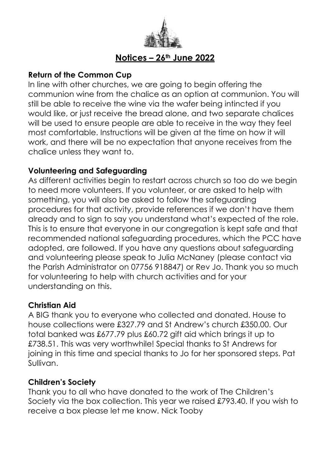

# **Notices – 26th June 2022**

# **Return of the Common Cup**

In line with other churches, we are going to begin offering the communion wine from the chalice as an option at communion. You will still be able to receive the wine via the wafer being intincted if you would like, or just receive the bread alone, and two separate chalices will be used to ensure people are able to receive in the way they feel most comfortable. Instructions will be given at the time on how it will work, and there will be no expectation that anyone receives from the chalice unless they want to.

# **Volunteering and Safeguarding**

As different activities begin to restart across church so too do we begin to need more volunteers. If you volunteer, or are asked to help with something, you will also be asked to follow the safeguarding procedures for that activity, provide references if we don't have them already and to sign to say you understand what's expected of the role. This is to ensure that everyone in our congregation is kept safe and that recommended national safeguarding procedures, which the PCC have adopted, are followed. If you have any questions about safeguarding and volunteering please speak to Julia McNaney (please contact via the Parish Administrator on 07756 918847) or Rev Jo. Thank you so much for volunteering to help with church activities and for your understanding on this.

## **Christian Aid**

A BIG thank you to everyone who collected and donated. House to house collections were £327.79 and St Andrew's church £350.00. Our total banked was £677.79 plus £60.72 gift aid which brings it up to £738.51. This was very worthwhile! Special thanks to St Andrews for joining in this time and special thanks to Jo for her sponsored steps. Pat Sullivan.

## **Children's Society**

Thank you to all who have donated to the work of The Children's Society via the box collection. This year we raised £793.40. If you wish to receive a box please let me know. Nick Tooby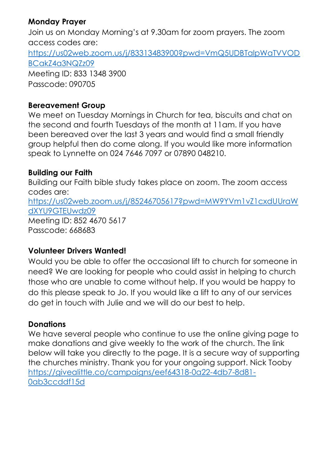## **Monday Prayer**

Join us on Monday Morning's at 9.30am for zoom prayers. The zoom access codes are: [https://us02web.zoom.us/j/83313483900?pwd=VmQ5UDBTalpWaTVVOD](https://us02web.zoom.us/j/83313483900?pwd=VmQ5UDBTalpWaTVVODBCakZ4a3NQZz09) [BCakZ4a3NQZz09](https://us02web.zoom.us/j/83313483900?pwd=VmQ5UDBTalpWaTVVODBCakZ4a3NQZz09) Meeting ID: 833 1348 3900 Passcode: 090705

#### **Bereavement Group**

We meet on Tuesday Mornings in Church for tea, biscuits and chat on the second and fourth Tuesdays of the month at 11am. If you have been bereaved over the last 3 years and would find a small friendly group helpful then do come along. If you would like more information speak to Lynnette on 024 7646 7097 or 07890 048210.

## **Building our Faith**

Building our Faith bible study takes place on zoom. The zoom access codes are: [https://us02web.zoom.us/j/85246705617?pwd=MW9YVm1vZ1cxdUUraW](https://us02web.zoom.us/j/85246705617?pwd=MW9YVm1vZ1cxdUUraWdXYU9GTEUwdz09) [dXYU9GTEUwdz09](https://us02web.zoom.us/j/85246705617?pwd=MW9YVm1vZ1cxdUUraWdXYU9GTEUwdz09) Meeting ID: 852 4670 5617 Passcode: 668683

## **Volunteer Drivers Wanted!**

Would you be able to offer the occasional lift to church for someone in need? We are looking for people who could assist in helping to church those who are unable to come without help. If you would be happy to do this please speak to Jo. If you would like a lift to any of our services do get in touch with Julie and we will do our best to help.

## **Donations**

We have several people who continue to use the online giving page to make donations and give weekly to the work of the church. The link below will take you directly to the page. It is a secure way of supporting the churches ministry. Thank you for your ongoing support. Nick Tooby [https://givealittle.co/campaigns/eef64318-0a22-4db7-8d81-](https://givealittle.co/campaigns/eef64318-0a22-4db7-8d81-0ab3ccddf15d) [0ab3ccddf15d](https://givealittle.co/campaigns/eef64318-0a22-4db7-8d81-0ab3ccddf15d)